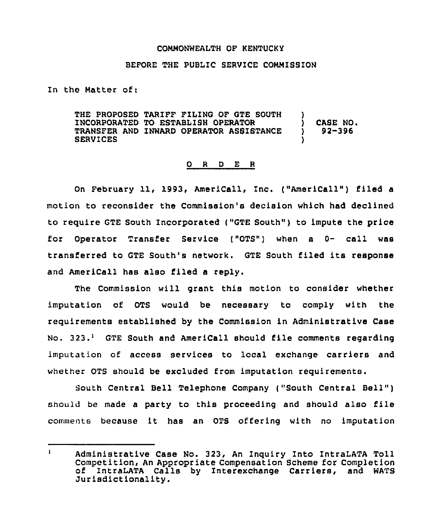## COMMONWEALTH OF KENTUCKY

## BEFORE THE PUBLIC SERVICE COMMISSION

In the Matter of:

THE PROPOSED TARIFF FILING OF GTE SOUTH )<br>INCORPORATED TO ESTABLISH OPERATOR ) INCORPORATED TO ESTABLISH OPERATOR ) CASE NO. TRANSFER AND INWARD OPERATOR ASSISTANCE **SERVICES** 

## 0 <sup>R</sup> <sup>D</sup> E <sup>R</sup>

On February 11, 1993, AmeriCall, Inc. ("AmeriCall") filed a motion to reconsider the Commission's decision which had declined to require GTE South Incorporated ("GTE South" ) to impute the price for Operator Transfer Service {"OTS") when a 0- call was transferred to GTE South's network. GTE South filed its response and AmeriCall has also filed a reply.

The Commission will grant this motion to consider whether imputation of OTS would be necessary to comply with the requirements established by the Commission in Administrative Case No.  $323.1$  GTE South and AmeriCall should file comments regarding imputation of access services to local exchange carriers and whether OTS should be excluded from imputation requirements.

South Central Bell Telephone Company ("South Central Bell" ) should be made a party to this proceeding and should also file comments because it has an OTS offering with no imputation

 $\mathbf{1}$ Administrative Case No. 323, An Inquiry Into IntraLATA Toll Competition, An Appropriate Compensation Scheme for Completion of IntraLATA Calls by Interexchange Carriers, and WATS Jurisdictionality.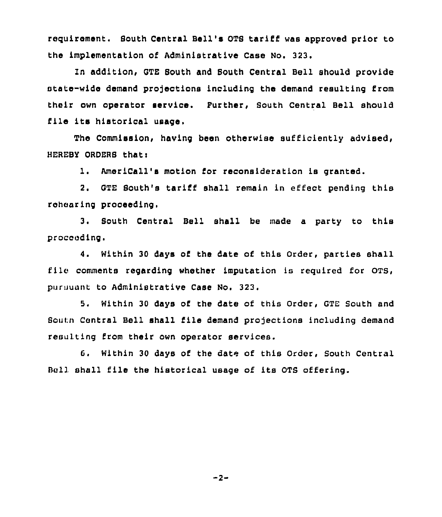requirement. Bouth Central Bell's OTS tariff was approved prior to the implementation of Administrative Case No. 323.

In addition, GTE South and South Central Bell should provide state-wide demand projections including the demand resulting from their own operator service. Further, South Central Bell should file its historical usage.

The Commission, having been otherwise sufficiently advised, HEREBY ORDERS that:

1. AmeriCall's motion for reconsideration is granted.

2. GTE South's tariff shall remain in effect pending this rehearing proceeding.

3. South Central Bell shall be made a party to this proceeding.

4. Within 30 days of the date of this Order, parties shall file comments regarding whether imputation is required for OTS, pursuant to Administrative Case No. 323.

5. Within 30 days of the date of this Order, GTE South and Bourn Central Bell shall file demand projections including demand resulting from their own operator services.

6. Within 30 days of the date of this Order, South Central Bell shall Elle the historical usage of its OTS offering.

 $-2-$